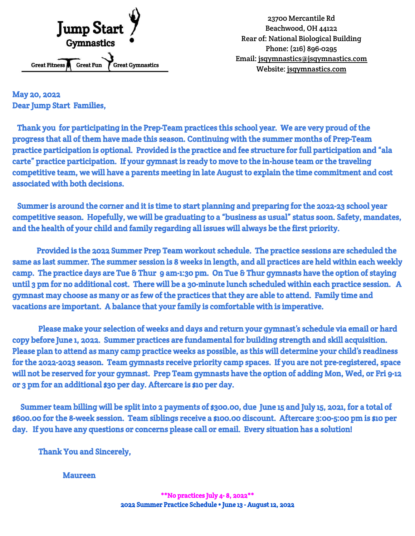

23700 Mercantile Rd Beachwood, OH 44122 Rear of: National Biological Building Phone: (216) 896-0295 Email: jsgymnastics@jsgymnastics.com Website: jsgymnastics.com

May 20, 2022 Dear Jump Start Families,

Thank you for participating in the Prep-Team practices this school year. We are very proud of the progress that all of them have made this season. Continuing with the summer months of Prep-Team practice participation is optional. Provided is the practice and fee structure for full participation and "ala carte" practice participation. If your gymnast is ready to move to the in-house team or the traveling competitive team, we will have a parents meeting in late August to explain the time commitment and cost associated with both decisions.

Summer is around the corner and it is time to start planning and preparing for the 2022-23 school year competitive season. Hopefully, we will be graduating to a "business as usual" status soon. Safety, mandates, and the health of your child and family regarding all issues will always be the first priority.

Provided is the 2022 Summer Prep Team workout schedule. The practice sessions are scheduled the same as last summer. The summer session is 8 weeks in length, and all practices are held within each weekly camp. The practice days are Tue & Thur 9 am-1:30 pm. On Tue & Thur gymnasts have the option of staying until 3 pm for no additional cost. There will be a 30-minute lunch scheduled within each practice session. A gymnast may choose as many or as few of the practices that they are able to attend. Family time and vacations are important. A balance that your family is comfortable with is imperative.

Please make your selection of weeks and days and return your gymnast's schedule via email or hard copy before June 1, 2022. Summer practices are fundamental for building strength and skill acquisition. Please plan to attend as many camp practice weeks as possible, as this will determine your child's readiness for the 2022-2023 season. Team gymnasts receive priority camp spaces. If you are not pre-registered, space will not be reserved for your gymnast. Prep Team gymnasts have the option of adding Mon, Wed, or Fri 9-12 or 3 pm for an additional \$30 per day. Aftercare is \$10 per day.

Summer team billing will be split into 2 payments of \$300.00, due June 15 and July 15, 2021, for a total of \$600.00 for the 8-week session. Team siblings receive a \$100.00 discount. Aftercare 3:00-5:00 pm is \$10 per day. If you have any questions or concerns please call or email. Every situation has a solution!

Thank You and Sincerely,

Maureen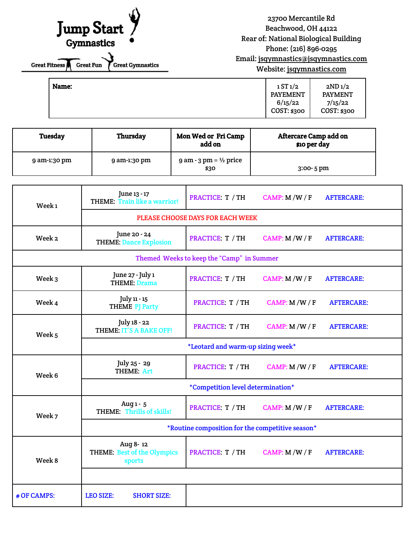## $\Lambda$ Jump Start

Great Fitness Great Fun Great Gymnastics

23700 Mercantile Rd Beachwood, OH 44122 Rear of: National Biological Building Phone: (216) 896-0295 Email: jsgymnastics@jsgymnastics.com Website: jsgymnastics.com

| Name: | 1ST1/2<br><b>PAYEMENT</b> | 2ND <sub>1</sub> /2<br><b>PAYMENT</b> |
|-------|---------------------------|---------------------------------------|
|       | 6/15/22<br>COST: \$300    | 7/15/22<br>COST: \$300                |

| <b>Tuesday</b> | Thursday     | <b>Mon Wed or Fri Camp</b><br>add on          | <b>Aftercare Camp add on</b><br>\$10 per day |  |
|----------------|--------------|-----------------------------------------------|----------------------------------------------|--|
| 9 am-1:30 pm   | 9 am-1:30 pm | $9$ am - $3$ pm = $\frac{1}{2}$ price<br>\$30 | $3:00 - 5$ pm                                |  |

| Week <sub>1</sub>                         | June 13 - 17<br><b>THEME: Train like a warrior!</b>      | PRACTICE: T / TH | CAMP: M/W/F   | <b>AFTERCARE:</b> |  |  |  |
|-------------------------------------------|----------------------------------------------------------|------------------|---------------|-------------------|--|--|--|
|                                           | PLEASE CHOOSE DAYS FOR EACH WEEK                         |                  |               |                   |  |  |  |
| Week 2                                    | June 20 - 24<br><b>THEME: Dance Explosion</b>            | PRACTICE. T / TH | CAMP: M/W/F   | <b>AFTERCARE:</b> |  |  |  |
| Themed Weeks to keep the "Camp" in Summer |                                                          |                  |               |                   |  |  |  |
| Week 3                                    | June 27 - July 1<br><b>THEME: Drama</b>                  | PRACTICE: T / TH | CAMP: M/W/F   | <b>AFTERCARE:</b> |  |  |  |
| Week 4                                    | July 11 - 15<br><b>THEME PJ Party</b>                    | PRACTICE: T / TH | CAMP: M/W/F   | <b>AFTERCARE:</b> |  |  |  |
| Week <sub>5</sub>                         | July 18 - 22<br><b>THEME: IT'S A BAKE OFF!</b>           | PRACTICE: T / TH | CAMP: $M/W/F$ | <b>AFTERCARE:</b> |  |  |  |
|                                           | *Leotard and warm-up sizing week*                        |                  |               |                   |  |  |  |
| Week 6                                    | July 25 - 29<br>THEME: Art                               | PRACTICE: T / TH | CAMP: $M/W/F$ | <b>AFTERCARE:</b> |  |  |  |
|                                           | *Competition level determination*                        |                  |               |                   |  |  |  |
| Week 7                                    | Aug 1 - 5<br>THEME: Thrills of skills!                   | PRACTICE T / TH  | CAMP: $M/W/F$ | <b>AFTERCARE:</b> |  |  |  |
|                                           | *Routine composition for the competitive season*         |                  |               |                   |  |  |  |
| Week 8                                    | Aug 8-12<br><b>THEME: Best of the Olympics</b><br>sports | PRACTICE: T / TH | CAMP: $M/W/F$ | <b>AFTERCARE:</b> |  |  |  |
|                                           |                                                          |                  |               |                   |  |  |  |
| # OF CAMPS:                               | <b>LEO SIZE:</b><br><b>SHORT SIZE:</b>                   |                  |               |                   |  |  |  |